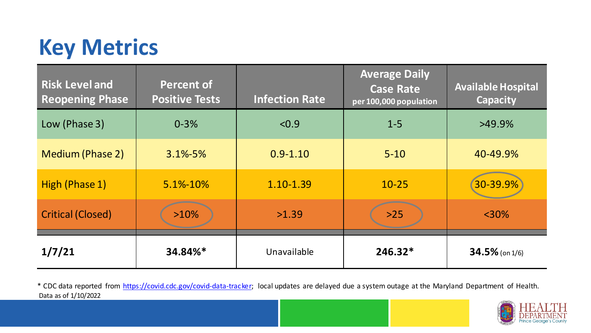## **Key Metrics**

| <b>Risk Level and</b><br><b>Reopening Phase</b> | <b>Percent of</b><br><b>Positive Tests</b> | <b>Infection Rate</b> | <b>Average Daily</b><br><b>Case Rate</b><br>per 100,000 population | <b>Available Hospital</b><br><b>Capacity</b> |
|-------------------------------------------------|--------------------------------------------|-----------------------|--------------------------------------------------------------------|----------------------------------------------|
| Low (Phase 3)                                   | $0 - 3%$                                   | < 0.9                 | $1 - 5$                                                            | $>49.9\%$                                    |
| <b>Medium (Phase 2)</b>                         | $3.1\% - 5\%$                              | $0.9 - 1.10$          | $5 - 10$                                                           | 40-49.9%                                     |
| High (Phase 1)                                  | 5.1%-10%                                   | 1.10-1.39             | $10 - 25$                                                          | 30-39.9%                                     |
| <b>Critical (Closed)</b>                        | $>10\%$                                    | >1.39                 | $>25$                                                              | $<$ 30%                                      |
| 1/7/21                                          | 34.84%*                                    | Unavailable           | $246.32*$                                                          | $34.5\%$ (on 1/6)                            |

Data as of 1/10/2022 \* CDC data reported from [https://covid.cdc.gov/covid-data-tracker;](https://covid.cdc.gov/covid-data-tracker) local updates are delayed due a system outage at the Maryland Department of Health.

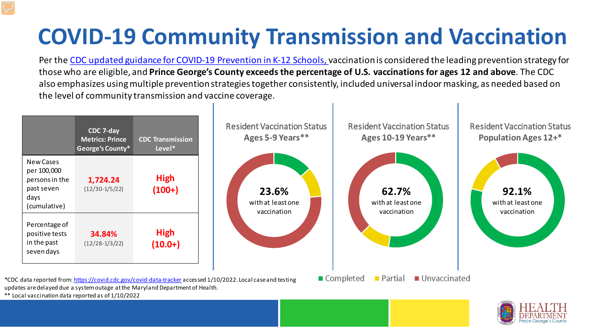## **COVID-19 Community Transmission and Vaccination**

Per the [CDC updated guidance for COVID-19 Prevention in K-12 Schools, v](https://www.cdc.gov/coronavirus/2019-ncov/community/schools-childcare/k-12-guidance.html)accination is considered the leading prevention strategy for those who are eligible, and **Prince George's County exceeds the percentage of U.S. vaccinations for ages 12 and above**. The CDC also emphasizes using multiple prevention strategies together consistently, included universal indoor masking, as needed based on the level of community transmission and vaccine coverage.